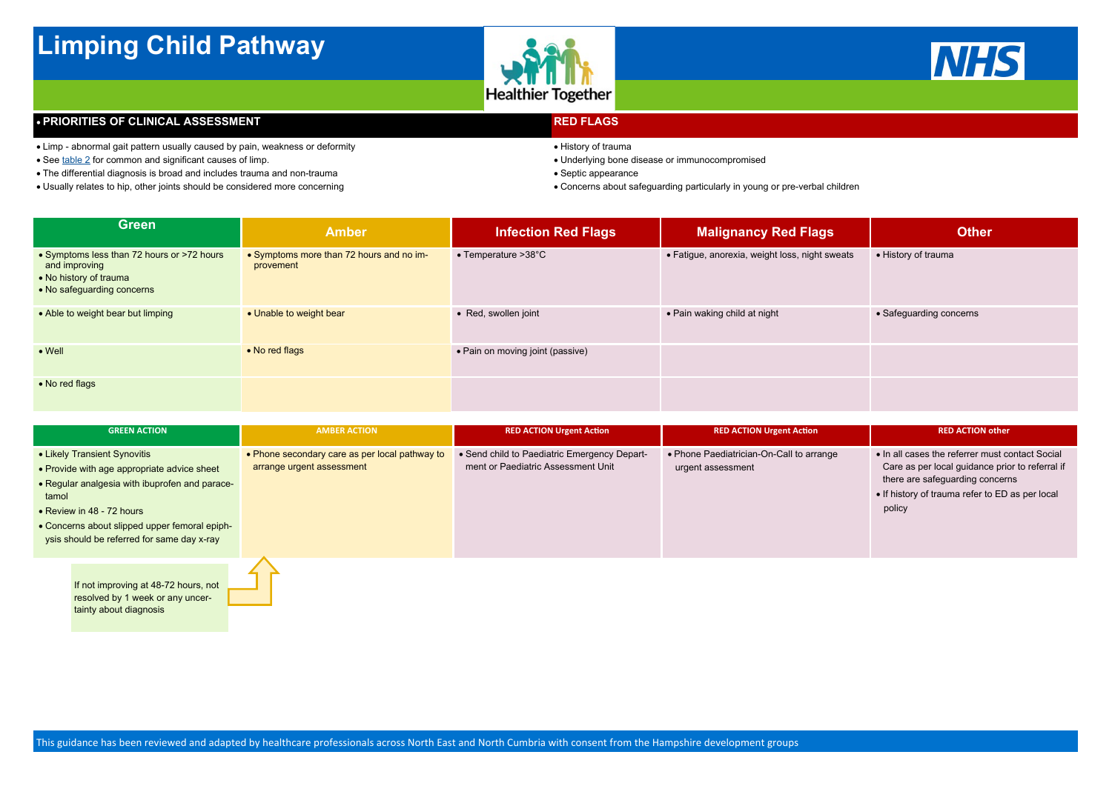

# **Limping Child Pathway**



### **• PRIORITIES OF CLINICAL ASSESSMENT**

| <b>GREEN ACTION</b>                                                                                                                                                                                                                                                | <b>AMBER ACTION</b>                                                         | <b>RED ACTION Urgent Action</b>                                                    | <b>RED ACTION Urgent Action</b>                               | <b>RED ACTION other</b>                                                                                                                                                                            |
|--------------------------------------------------------------------------------------------------------------------------------------------------------------------------------------------------------------------------------------------------------------------|-----------------------------------------------------------------------------|------------------------------------------------------------------------------------|---------------------------------------------------------------|----------------------------------------------------------------------------------------------------------------------------------------------------------------------------------------------------|
| • Likely Transient Synovitis<br>• Provide with age appropriate advice sheet<br>• Regular analgesia with ibuprofen and parace-<br>tamol<br>• Review in 48 - 72 hours<br>• Concerns about slipped upper femoral epiph-<br>ysis should be referred for same day x-ray | • Phone secondary care as per local pathway to<br>arrange urgent assessment | • Send child to Paediatric Emergency Depart-<br>ment or Paediatric Assessment Unit | • Phone Paediatrician-On-Call to arrange<br>urgent assessment | • In all cases the referrer must contact Social<br>Care as per local guidance prior to referral if<br>there are safeguarding concerns<br>• If history of trauma refer to ED as per local<br>policy |
|                                                                                                                                                                                                                                                                    |                                                                             |                                                                                    |                                                               |                                                                                                                                                                                                    |

- **RED FLAGS**
- History of trauma
- Underlying bone disease or immunocompromised
- Septic appearance
- Concerns about safeguarding particularly in young or pre-verbal children

| <b>Green</b>                                                                                                        | <b>Amber</b>                                          | <b>Infection Red Flags</b>       | <b>Malignancy Red Flags</b>                    | <b>Other</b>            |
|---------------------------------------------------------------------------------------------------------------------|-------------------------------------------------------|----------------------------------|------------------------------------------------|-------------------------|
| • Symptoms less than 72 hours or >72 hours<br>and improving<br>• No history of trauma<br>• No safeguarding concerns | • Symptoms more than 72 hours and no im-<br>provement | • Temperature >38°C              | • Fatigue, anorexia, weight loss, night sweats | • History of trauma     |
| • Able to weight bear but limping                                                                                   | • Unable to weight bear                               | • Red, swollen joint             | • Pain waking child at night                   | • Safeguarding concerns |
| $\bullet$ Well                                                                                                      | • No red flags                                        | • Pain on moving joint (passive) |                                                |                         |
| • No red flags                                                                                                      |                                                       |                                  |                                                |                         |

If not improving at 48-72 hours, not resolved by 1 week or any uncertainty about diagnosis

- Limp abnormal gait pattern usually caused by pain, weakness or deformity
- See table 2 for common and significant causes of limp.
- The differential diagnosis is broad and includes trauma and non-trauma
- Usually relates to hip, other joints should be considered more concerning